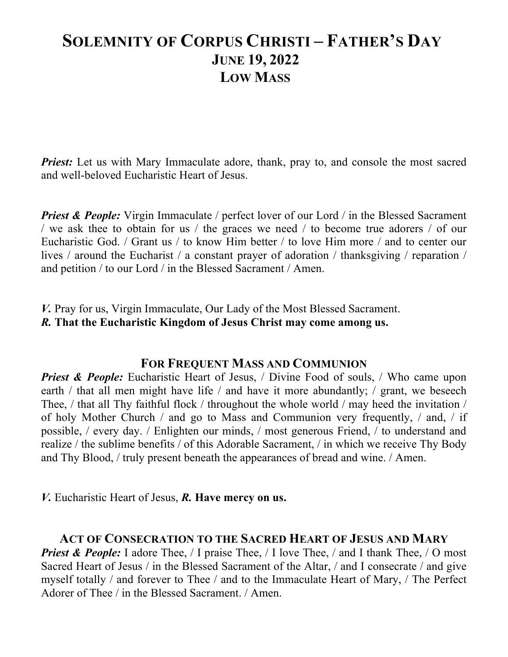# **SOLEMNITY OF CORPUS CHRISTI – FATHER'S DAY JUNE 19, 2022 LOW MASS**

*Priest:* Let us with Mary Immaculate adore, thank, pray to, and console the most sacred and well-beloved Eucharistic Heart of Jesus.

*Priest & People:* Virgin Immaculate / perfect lover of our Lord / in the Blessed Sacrament / we ask thee to obtain for us / the graces we need / to become true adorers / of our Eucharistic God. / Grant us / to know Him better / to love Him more / and to center our lives / around the Eucharist / a constant prayer of adoration / thanksgiving / reparation / and petition / to our Lord / in the Blessed Sacrament / Amen.

*V.* Pray for us, Virgin Immaculate, Our Lady of the Most Blessed Sacrament. *R.* **That the Eucharistic Kingdom of Jesus Christ may come among us.**

#### **FOR FREQUENT MASS AND COMMUNION**

*Priest & People:* Eucharistic Heart of Jesus, / Divine Food of souls, / Who came upon earth / that all men might have life / and have it more abundantly; / grant, we beseech Thee, / that all Thy faithful flock / throughout the whole world / may heed the invitation / of holy Mother Church / and go to Mass and Communion very frequently, / and, / if possible, / every day. / Enlighten our minds, / most generous Friend, / to understand and realize / the sublime benefits / of this Adorable Sacrament, / in which we receive Thy Body and Thy Blood, / truly present beneath the appearances of bread and wine. / Amen.

*V.* Eucharistic Heart of Jesus, *R.* **Have mercy on us.**

#### **ACT OF CONSECRATION TO THE SACRED HEART OF JESUS AND MARY**

*Priest & People:* I adore Thee, / I praise Thee, / I love Thee, / and I thank Thee, / O most Sacred Heart of Jesus / in the Blessed Sacrament of the Altar, / and I consecrate / and give myself totally / and forever to Thee / and to the Immaculate Heart of Mary, / The Perfect Adorer of Thee / in the Blessed Sacrament. / Amen.